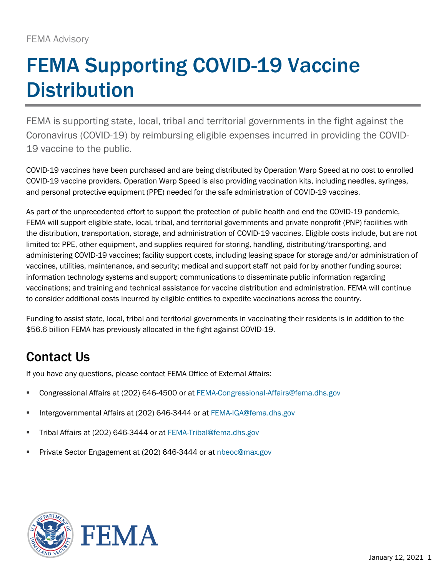## FEMA Supporting COVID-19 Vaccine **Distribution**

FEMA is supporting state, local, tribal and territorial governments in the fight against the Coronavirus (COVID-19) by reimbursing eligible expenses incurred in providing the COVID-19 vaccine to the public.

COVID-19 vaccines have been purchased and are being distributed by Operation Warp Speed at no cost to enrolled COVID-19 vaccine providers. Operation Warp Speed is also providing vaccination kits, including needles, syringes, and personal protective equipment (PPE) needed for the safe administration of COVID-19 vaccines.

As part of the unprecedented effort to support the protection of public health and end the COVID-19 pandemic, FEMA will support eligible state, local, tribal, and territorial governments and private nonprofit (PNP) facilities with the distribution, transportation, storage, and administration of COVID-19 vaccines. Eligible costs include, but are not limited to: PPE, other equipment, and supplies required for storing, handling, distributing/transporting, and administering COVID-19 vaccines; facility support costs, including leasing space for storage and/or administration of vaccines, utilities, maintenance, and security; medical and support staff not paid for by another funding source; information technology systems and support; communications to disseminate public information regarding vaccinations; and training and technical assistance for vaccine distribution and administration. FEMA will continue to consider additional costs incurred by eligible entities to expedite vaccinations across the country.

Funding to assist state, local, tribal and territorial governments in vaccinating their residents is in addition to the \$56.6 billion FEMA has previously allocated in the fight against COVID-19.

## Contact Us

If you have any questions, please contact FEMA Office of External Affairs:

- Congressional Affairs at (202) 646-4500 or at [FEMA-Congressional-Affairs@fema.dhs.gov](mailto:FEMA-Congressional-Affairs@fema.dhs.gov)
- Intergovernmental Affairs at (202) 646-3444 or at [FEMA-IGA@fema.dhs.gov](mailto:FEMA-IGA@fema.dhs.gov)
- **Tribal Affairs at (202) 646-3444 or at [FEMA-Tribal@fema.dhs.gov](mailto:FEMA-Tribal@fema.dhs.gov)**
- **Private Sector Engagement at (202) 646-3444 or at [nbeoc@max.gov](mailto:nbeoc@max.gov)**